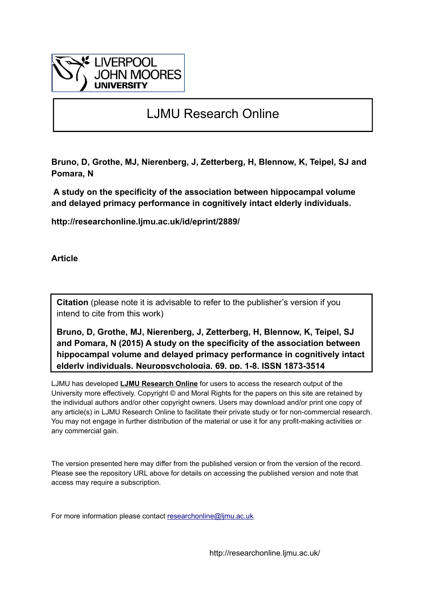

# LJMU Research Online

**Bruno, D, Grothe, MJ, Nierenberg, J, Zetterberg, H, Blennow, K, Teipel, SJ and Pomara, N**

 **A study on the specificity of the association between hippocampal volume and delayed primacy performance in cognitively intact elderly individuals.**

**http://researchonline.ljmu.ac.uk/id/eprint/2889/**

**Article**

**Citation** (please note it is advisable to refer to the publisher's version if you intend to cite from this work)

**Bruno, D, Grothe, MJ, Nierenberg, J, Zetterberg, H, Blennow, K, Teipel, SJ and Pomara, N (2015) A study on the specificity of the association between hippocampal volume and delayed primacy performance in cognitively intact elderly individuals. Neuropsychologia, 69. pp. 1-8. ISSN 1873-3514** 

LJMU has developed **[LJMU Research Online](http://researchonline.ljmu.ac.uk/)** for users to access the research output of the University more effectively. Copyright © and Moral Rights for the papers on this site are retained by the individual authors and/or other copyright owners. Users may download and/or print one copy of any article(s) in LJMU Research Online to facilitate their private study or for non-commercial research. You may not engage in further distribution of the material or use it for any profit-making activities or any commercial gain.

The version presented here may differ from the published version or from the version of the record. Please see the repository URL above for details on accessing the published version and note that access may require a subscription.

For more information please contact researchonline@limu.ac.uk

http://researchonline.ljmu.ac.uk/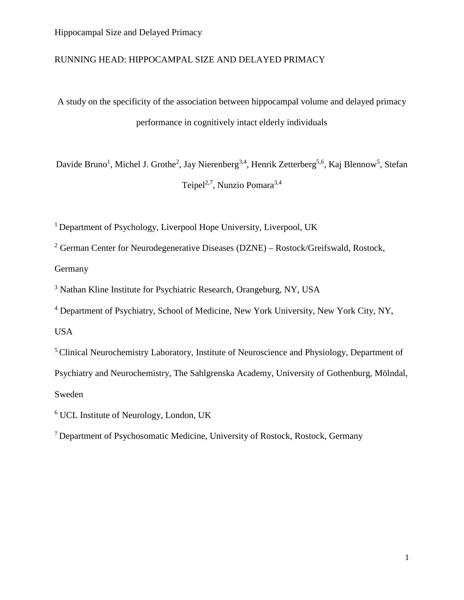### RUNNING HEAD: HIPPOCAMPAL SIZE AND DELAYED PRIMACY

A study on the specificity of the association between hippocampal volume and delayed primacy performance in cognitively intact elderly individuals

Davide Bruno<sup>1</sup>, Michel J. Grothe<sup>2</sup>, Jay Nierenberg<sup>3,4</sup>, Henrik Zetterberg<sup>5,6</sup>, Kaj Blennow<sup>5</sup>, Stefan Teipel<sup>2,7</sup>, Nunzio Pomara<sup>3,4</sup>

<sup>1</sup> Department of Psychology, Liverpool Hope University, Liverpool, UK

<sup>2</sup> German Center for Neurodegenerative Diseases (DZNE) – Rostock/Greifswald, Rostock, Germany

<sup>3</sup> Nathan Kline Institute for Psychiatric Research, Orangeburg, NY, USA

<sup>4</sup> Department of Psychiatry, School of Medicine, New York University, New York City, NY,

USA

<sup>5</sup> Clinical Neurochemistry Laboratory, Institute of Neuroscience and Physiology, Department of Psychiatry and Neurochemistry, The Sahlgrenska Academy, University of Gothenburg, Mölndal, Sweden

<sup>6</sup> UCL Institute of Neurology, London, UK

7 Department of Psychosomatic Medicine, University of Rostock, Rostock, Germany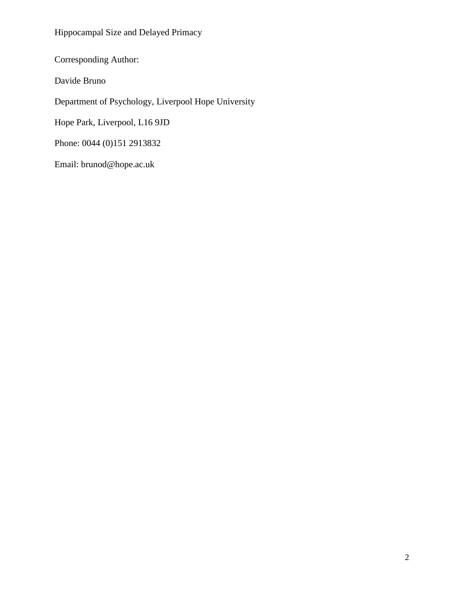Corresponding Author:

Davide Bruno

Department of Psychology, Liverpool Hope University

Hope Park, Liverpool, L16 9JD

Phone: 0044 (0)151 2913832

Email: brunod@hope.ac.uk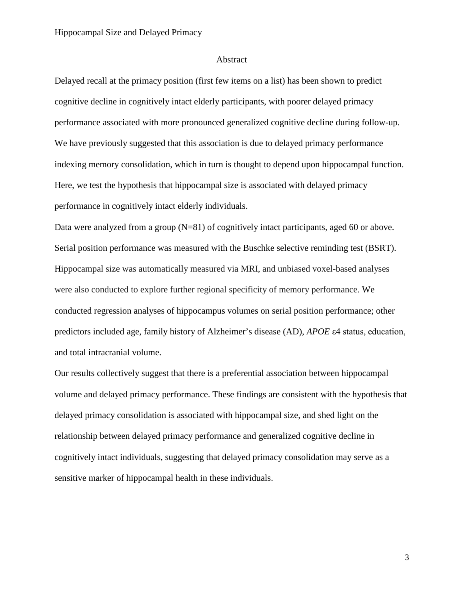#### Abstract

Delayed recall at the primacy position (first few items on a list) has been shown to predict cognitive decline in cognitively intact elderly participants, with poorer delayed primacy performance associated with more pronounced generalized cognitive decline during follow-up. We have previously suggested that this association is due to delayed primacy performance indexing memory consolidation, which in turn is thought to depend upon hippocampal function. Here, we test the hypothesis that hippocampal size is associated with delayed primacy performance in cognitively intact elderly individuals.

Data were analyzed from a group (N=81) of cognitively intact participants, aged 60 or above. Serial position performance was measured with the Buschke selective reminding test (BSRT). Hippocampal size was automatically measured via MRI, and unbiased voxel-based analyses were also conducted to explore further regional specificity of memory performance. We conducted regression analyses of hippocampus volumes on serial position performance; other predictors included age, family history of Alzheimer's disease (AD), *APOE* ε4 status, education, and total intracranial volume.

Our results collectively suggest that there is a preferential association between hippocampal volume and delayed primacy performance. These findings are consistent with the hypothesis that delayed primacy consolidation is associated with hippocampal size, and shed light on the relationship between delayed primacy performance and generalized cognitive decline in cognitively intact individuals, suggesting that delayed primacy consolidation may serve as a sensitive marker of hippocampal health in these individuals.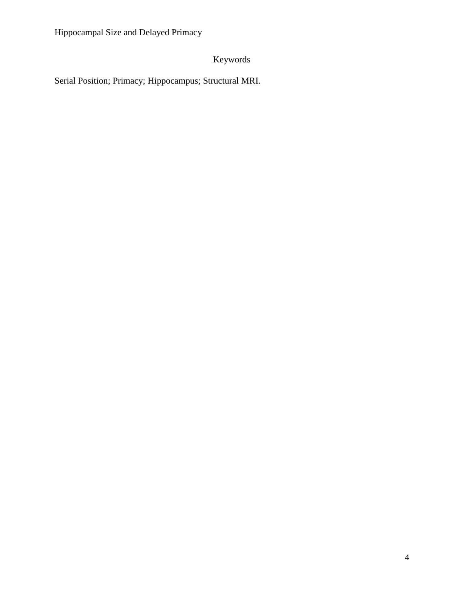## Keywords

Serial Position; Primacy; Hippocampus; Structural MRI.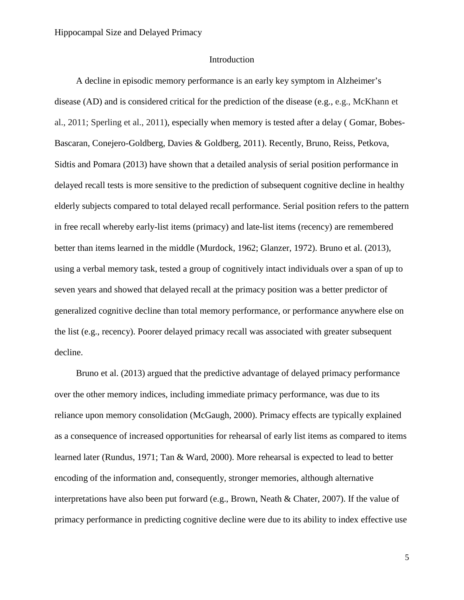#### Introduction

A decline in episodic memory performance is an early key symptom in Alzheimer's disease (AD) and is considered critical for the prediction of the disease (e.g., e.g., McKhann et al., 2011; Sperling et al., 2011), especially when memory is tested after a delay ( [Gomar,](http://www.ncbi.nlm.nih.gov/pubmed?term=Gomar%20JJ%5BAuthor%5D&cauthor=true&cauthor_uid=21893661) [Bobes-](http://www.ncbi.nlm.nih.gov/pubmed?term=Bobes-Bascaran%20MT%5BAuthor%5D&cauthor=true&cauthor_uid=21893661)[Bascaran,](http://www.ncbi.nlm.nih.gov/pubmed?term=Bobes-Bascaran%20MT%5BAuthor%5D&cauthor=true&cauthor_uid=21893661) [Conejero-Goldberg,](http://www.ncbi.nlm.nih.gov/pubmed?term=Conejero-Goldberg%20C%5BAuthor%5D&cauthor=true&cauthor_uid=21893661) [Davies](http://www.ncbi.nlm.nih.gov/pubmed?term=Davies%20P%5BAuthor%5D&cauthor=true&cauthor_uid=21893661) & [Goldberg,](http://www.ncbi.nlm.nih.gov/pubmed?term=Goldberg%20TE%5BAuthor%5D&cauthor=true&cauthor_uid=21893661) 2011). Recently, Bruno, Reiss, Petkova, Sidtis and Pomara (2013) have shown that a detailed analysis of serial position performance in delayed recall tests is more sensitive to the prediction of subsequent cognitive decline in healthy elderly subjects compared to total delayed recall performance. Serial position refers to the pattern in free recall whereby early-list items (primacy) and late-list items (recency) are remembered better than items learned in the middle (Murdock, 1962; Glanzer, 1972). Bruno et al. (2013), using a verbal memory task, tested a group of cognitively intact individuals over a span of up to seven years and showed that delayed recall at the primacy position was a better predictor of generalized cognitive decline than total memory performance, or performance anywhere else on the list (e.g., recency). Poorer delayed primacy recall was associated with greater subsequent decline.

Bruno et al. (2013) argued that the predictive advantage of delayed primacy performance over the other memory indices, including immediate primacy performance, was due to its reliance upon memory consolidation (McGaugh, 2000). Primacy effects are typically explained as a consequence of increased opportunities for rehearsal of early list items as compared to items learned later (Rundus, 1971; Tan & Ward, 2000). More rehearsal is expected to lead to better encoding of the information and, consequently, stronger memories, although alternative interpretations have also been put forward (e.g., Brown, Neath & Chater, 2007). If the value of primacy performance in predicting cognitive decline were due to its ability to index effective use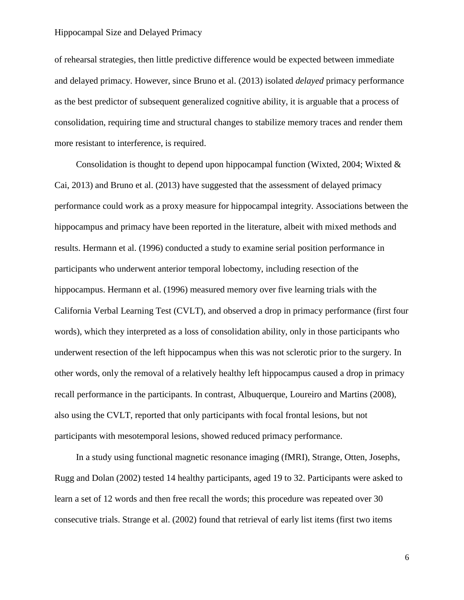of rehearsal strategies, then little predictive difference would be expected between immediate and delayed primacy. However, since Bruno et al. (2013) isolated *delayed* primacy performance as the best predictor of subsequent generalized cognitive ability, it is arguable that a process of consolidation, requiring time and structural changes to stabilize memory traces and render them more resistant to interference, is required.

Consolidation is thought to depend upon hippocampal function (Wixted, 2004; Wixted  $\&$ Cai, 2013) and Bruno et al. (2013) have suggested that the assessment of delayed primacy performance could work as a proxy measure for hippocampal integrity. Associations between the hippocampus and primacy have been reported in the literature, albeit with mixed methods and results. Hermann et al. (1996) conducted a study to examine serial position performance in participants who underwent anterior temporal lobectomy, including resection of the hippocampus. Hermann et al. (1996) measured memory over five learning trials with the California Verbal Learning Test (CVLT), and observed a drop in primacy performance (first four words), which they interpreted as a loss of consolidation ability, only in those participants who underwent resection of the left hippocampus when this was not sclerotic prior to the surgery. In other words, only the removal of a relatively healthy left hippocampus caused a drop in primacy recall performance in the participants. In contrast, Albuquerque, Loureiro and Martins (2008), also using the CVLT, reported that only participants with focal frontal lesions, but not participants with mesotemporal lesions, showed reduced primacy performance.

In a study using functional magnetic resonance imaging (fMRI), Strange, Otten, Josephs, Rugg and Dolan (2002) tested 14 healthy participants, aged 19 to 32. Participants were asked to learn a set of 12 words and then free recall the words; this procedure was repeated over 30 consecutive trials. Strange et al. (2002) found that retrieval of early list items (first two items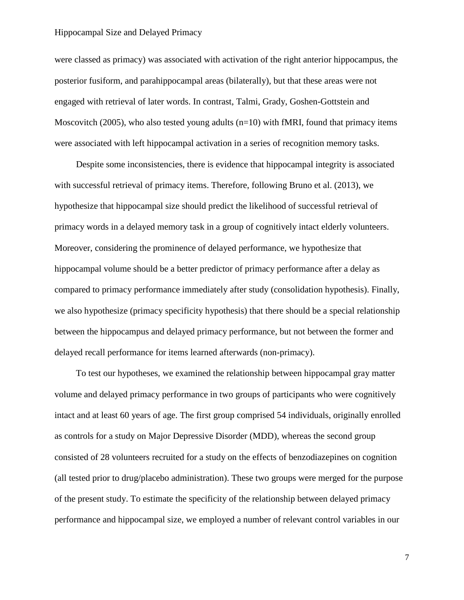were classed as primacy) was associated with activation of the right anterior hippocampus, the posterior fusiform, and parahippocampal areas (bilaterally), but that these areas were not engaged with retrieval of later words. In contrast, Talmi, Grady, Goshen-Gottstein and Moscovitch (2005), who also tested young adults ( $n=10$ ) with fMRI, found that primacy items were associated with left hippocampal activation in a series of recognition memory tasks.

Despite some inconsistencies, there is evidence that hippocampal integrity is associated with successful retrieval of primacy items. Therefore, following Bruno et al. (2013), we hypothesize that hippocampal size should predict the likelihood of successful retrieval of primacy words in a delayed memory task in a group of cognitively intact elderly volunteers. Moreover, considering the prominence of delayed performance, we hypothesize that hippocampal volume should be a better predictor of primacy performance after a delay as compared to primacy performance immediately after study (consolidation hypothesis). Finally, we also hypothesize (primacy specificity hypothesis) that there should be a special relationship between the hippocampus and delayed primacy performance, but not between the former and delayed recall performance for items learned afterwards (non-primacy).

To test our hypotheses, we examined the relationship between hippocampal gray matter volume and delayed primacy performance in two groups of participants who were cognitively intact and at least 60 years of age. The first group comprised 54 individuals, originally enrolled as controls for a study on Major Depressive Disorder (MDD), whereas the second group consisted of 28 volunteers recruited for a study on the effects of benzodiazepines on cognition (all tested prior to drug/placebo administration). These two groups were merged for the purpose of the present study. To estimate the specificity of the relationship between delayed primacy performance and hippocampal size, we employed a number of relevant control variables in our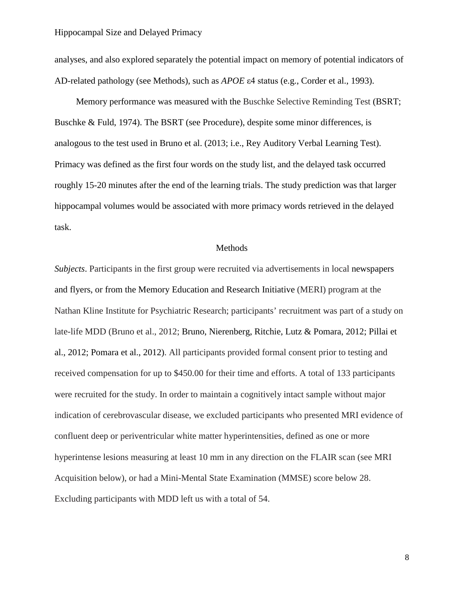analyses, and also explored separately the potential impact on memory of potential indicators of AD-related pathology (see Methods), such as *APOE* ε4 status (e.g., Corder et al., 1993).

Memory performance was measured with the Buschke Selective Reminding Test (BSRT; Buschke & Fuld, 1974). The BSRT (see Procedure), despite some minor differences, is analogous to the test used in Bruno et al. (2013; i.e., Rey Auditory Verbal Learning Test). Primacy was defined as the first four words on the study list, and the delayed task occurred roughly 15-20 minutes after the end of the learning trials. The study prediction was that larger hippocampal volumes would be associated with more primacy words retrieved in the delayed task.

#### Methods

*Subjects*. Participants in the first group were recruited via advertisements in local newspapers and flyers, or from the Memory Education and Research Initiative (MERI) program at the Nathan Kline Institute for Psychiatric Research; participants' recruitment was part of a study on late-life MDD (Bruno et al., 2012; Bruno, Nierenberg, Ritchie, Lutz & Pomara, 2012; Pillai et al., 2012; Pomara et al., 2012). All participants provided formal consent prior to testing and received compensation for up to \$450.00 for their time and efforts. A total of 133 participants were recruited for the study. In order to maintain a cognitively intact sample without major indication of cerebrovascular disease, we excluded participants who presented MRI evidence of confluent deep or periventricular white matter hyperintensities, defined as one or more hyperintense lesions measuring at least 10 mm in any direction on the FLAIR scan (see MRI Acquisition below), or had a Mini-Mental State Examination (MMSE) score below 28. Excluding participants with MDD left us with a total of 54.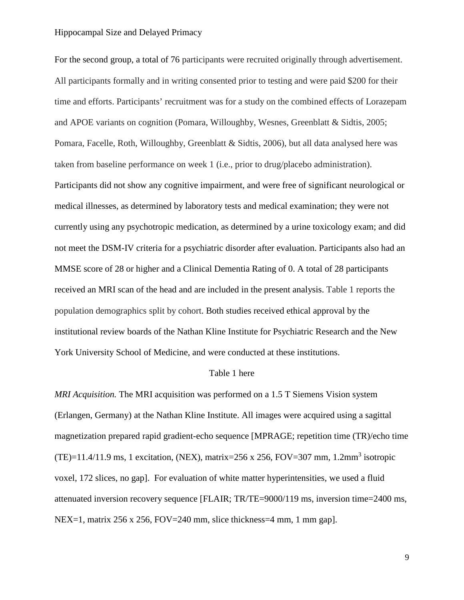For the second group, a total of 76 participants were recruited originally through advertisement. All participants formally and in writing consented prior to testing and were paid \$200 for their time and efforts. Participants' recruitment was for a study on the combined effects of Lorazepam and APOE variants on cognition (Pomara, Willoughby, Wesnes, Greenblatt & Sidtis, 2005; Pomara, Facelle, Roth, Willoughby, Greenblatt & Sidtis, 2006), but all data analysed here was taken from baseline performance on week 1 (i.e., prior to drug/placebo administration). Participants did not show any cognitive impairment, and were free of significant neurological or medical illnesses, as determined by laboratory tests and medical examination; they were not currently using any psychotropic medication, as determined by a urine toxicology exam; and did not meet the DSM-IV criteria for a psychiatric disorder after evaluation. Participants also had an MMSE score of 28 or higher and a Clinical Dementia Rating of 0. A total of 28 participants received an MRI scan of the head and are included in the present analysis. Table 1 reports the population demographics split by cohort. Both studies received ethical approval by the institutional review boards of the Nathan Kline Institute for Psychiatric Research and the New York University School of Medicine, and were conducted at these institutions.

#### Table 1 here

*MRI Acquisition.* The MRI acquisition was performed on a 1.5 T Siemens Vision system (Erlangen, Germany) at the Nathan Kline Institute. All images were acquired using a sagittal magnetization prepared rapid gradient-echo sequence [MPRAGE; repetition time (TR)/echo time (TE)=11.4/11.9 ms, 1 excitation, (NEX), matrix=256 x 256, FOV=307 mm, 1.2mm<sup>3</sup> isotropic voxel, 172 slices, no gap]. For evaluation of white matter hyperintensities, we used a fluid attenuated inversion recovery sequence [FLAIR; TR/TE=9000/119 ms, inversion time=2400 ms,  $NEX=1$ , matrix 256 x 256, FOV=240 mm, slice thickness=4 mm, 1 mm gap.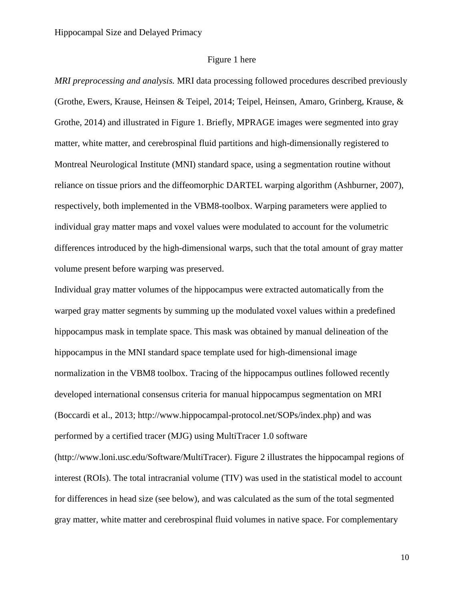#### Figure 1 here

*MRI preprocessing and analysis.* MRI data processing followed procedures described previously (Grothe, Ewers, Krause, Heinsen & Teipel, 2014; Teipel, Heinsen, Amaro, Grinberg, Krause, & Grothe, 2014) and illustrated in Figure 1. Briefly, MPRAGE images were segmented into gray matter, white matter, and cerebrospinal fluid partitions and high-dimensionally registered to Montreal Neurological Institute (MNI) standard space, using a segmentation routine without reliance on tissue priors and the diffeomorphic DARTEL warping algorithm (Ashburner, 2007), respectively, both implemented in the VBM8-toolbox. Warping parameters were applied to individual gray matter maps and voxel values were modulated to account for the volumetric differences introduced by the high-dimensional warps, such that the total amount of gray matter volume present before warping was preserved.

Individual gray matter volumes of the hippocampus were extracted automatically from the warped gray matter segments by summing up the modulated voxel values within a predefined hippocampus mask in template space. This mask was obtained by manual delineation of the hippocampus in the MNI standard space template used for high-dimensional image normalization in the VBM8 toolbox. Tracing of the hippocampus outlines followed recently developed international consensus criteria for manual hippocampus segmentation on MRI (Boccardi et al., 2013; [http://www.hippocampal-protocol.net/SOPs/index.php\)](http://www.hippocampal-protocol.net/SOPs/index.php) and was performed by a certified tracer (MJG) using MultiTracer 1.0 software [\(http://www.loni.usc.edu/Software/MultiTracer\)](http://www.loni.usc.edu/Software/MultiTracer). Figure 2 illustrates the hippocampal regions of interest (ROIs). The total intracranial volume (TIV) was used in the statistical model to account for differences in head size (see below), and was calculated as the sum of the total segmented gray matter, white matter and cerebrospinal fluid volumes in native space. For complementary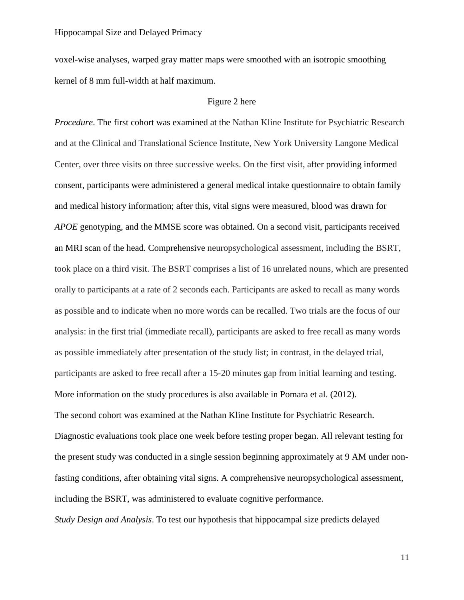voxel-wise analyses, warped gray matter maps were smoothed with an isotropic smoothing kernel of 8 mm full-width at half maximum.

#### Figure 2 here

*Procedure*. The first cohort was examined at the Nathan Kline Institute for Psychiatric Research and at the Clinical and Translational Science Institute, New York University Langone Medical Center, over three visits on three successive weeks. On the first visit, after providing informed consent, participants were administered a general medical intake questionnaire to obtain family and medical history information; after this, vital signs were measured, blood was drawn for *APOE* genotyping, and the MMSE score was obtained. On a second visit, participants received an MRI scan of the head. Comprehensive neuropsychological assessment, including the BSRT, took place on a third visit. The BSRT comprises a list of 16 unrelated nouns, which are presented orally to participants at a rate of 2 seconds each. Participants are asked to recall as many words as possible and to indicate when no more words can be recalled. Two trials are the focus of our analysis: in the first trial (immediate recall), participants are asked to free recall as many words as possible immediately after presentation of the study list; in contrast, in the delayed trial, participants are asked to free recall after a 15-20 minutes gap from initial learning and testing. More information on the study procedures is also available in Pomara et al. (2012). The second cohort was examined at the Nathan Kline Institute for Psychiatric Research. Diagnostic evaluations took place one week before testing proper began. All relevant testing for the present study was conducted in a single session beginning approximately at 9 AM under nonfasting conditions, after obtaining vital signs. A comprehensive neuropsychological assessment, including the BSRT, was administered to evaluate cognitive performance.

*Study Design and Analysis*. To test our hypothesis that hippocampal size predicts delayed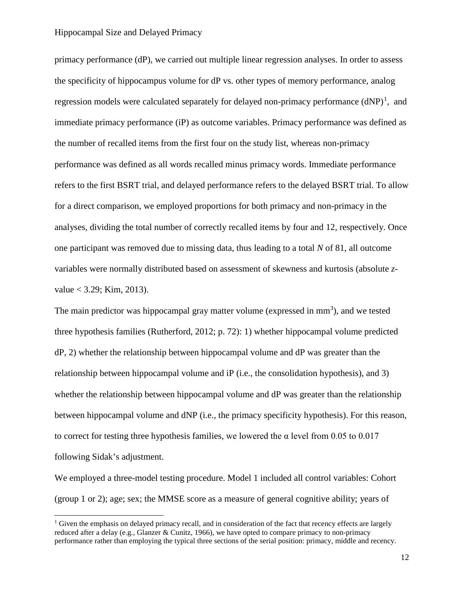primacy performance (dP), we carried out multiple linear regression analyses. In order to assess the specificity of hippocampus volume for dP vs. other types of memory performance, analog regression models were calculated separately for delayed non-primacy performance  $(dNP)^1$  $(dNP)^1$ , and immediate primacy performance (iP) as outcome variables. Primacy performance was defined as the number of recalled items from the first four on the study list, whereas non-primacy performance was defined as all words recalled minus primacy words. Immediate performance refers to the first BSRT trial, and delayed performance refers to the delayed BSRT trial. To allow for a direct comparison, we employed proportions for both primacy and non-primacy in the analyses, dividing the total number of correctly recalled items by four and 12, respectively. Once one participant was removed due to missing data, thus leading to a total *N* of 81, all outcome variables were normally distributed based on assessment of skewness and kurtosis (absolute *z* $value < 3.29$ ; Kim, 2013).

The main predictor was hippocampal gray matter volume (expressed in  $mm<sup>3</sup>$ ), and we tested three hypothesis families (Rutherford, 2012; p. 72): 1) whether hippocampal volume predicted dP, 2) whether the relationship between hippocampal volume and dP was greater than the relationship between hippocampal volume and iP (i.e., the consolidation hypothesis), and 3) whether the relationship between hippocampal volume and dP was greater than the relationship between hippocampal volume and dNP (i.e., the primacy specificity hypothesis). For this reason, to correct for testing three hypothesis families, we lowered the  $\alpha$  level from 0.05 to 0.017 following Sidak's adjustment.

We employed a three-model testing procedure. Model 1 included all control variables: Cohort (group 1 or 2); age; sex; the MMSE score as a measure of general cognitive ability; years of

<span id="page-12-0"></span> $1$  Given the emphasis on delayed primacy recall, and in consideration of the fact that recency effects are largely reduced after a delay (e.g., Glanzer & Cunitz, 1966), we have opted to compare primacy to non-primacy performance rather than employing the typical three sections of the serial position: primacy, middle and recency.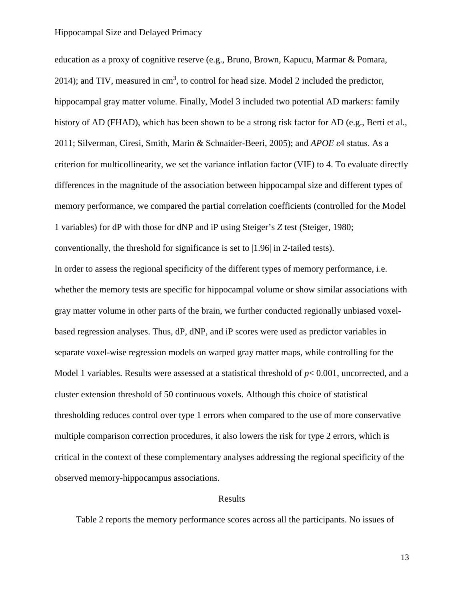education as a proxy of cognitive reserve (e.g., Bruno, Brown, Kapucu, Marmar & Pomara, 2014); and TIV, measured in  $cm<sup>3</sup>$ , to control for head size. Model 2 included the predictor, hippocampal gray matter volume. Finally, Model 3 included two potential AD markers: family history of AD (FHAD), which has been shown to be a strong risk factor for AD (e.g., Berti et al., 2011; [Silverman, Ciresi, Smith,](http://www.ncbi.nlm.nih.gov/pubmed?term=) [Marin & Schnaider-Beeri, 2](http://www.ncbi.nlm.nih.gov/pubmed?term=)005); and *APOE* ε4 status. As a criterion for multicollinearity, we set the variance inflation factor (VIF) to 4. To evaluate directly differences in the magnitude of the association between hippocampal size and different types of memory performance, we compared the partial correlation coefficients (controlled for the Model 1 variables) for dP with those for dNP and iP using Steiger's *Z* test (Steiger, 1980; conventionally, the threshold for significance is set to |1.96| in 2-tailed tests). In order to assess the regional specificity of the different types of memory performance, i.e. whether the memory tests are specific for hippocampal volume or show similar associations with gray matter volume in other parts of the brain, we further conducted regionally unbiased voxelbased regression analyses. Thus, dP, dNP, and iP scores were used as predictor variables in separate voxel-wise regression models on warped gray matter maps, while controlling for the Model 1 variables. Results were assessed at a statistical threshold of  $p< 0.001$ , uncorrected, and a cluster extension threshold of 50 continuous voxels. Although this choice of statistical thresholding reduces control over type 1 errors when compared to the use of more conservative multiple comparison correction procedures, it also lowers the risk for type 2 errors, which is critical in the context of these complementary analyses addressing the regional specificity of the observed memory-hippocampus associations.

#### Results

Table 2 reports the memory performance scores across all the participants. No issues of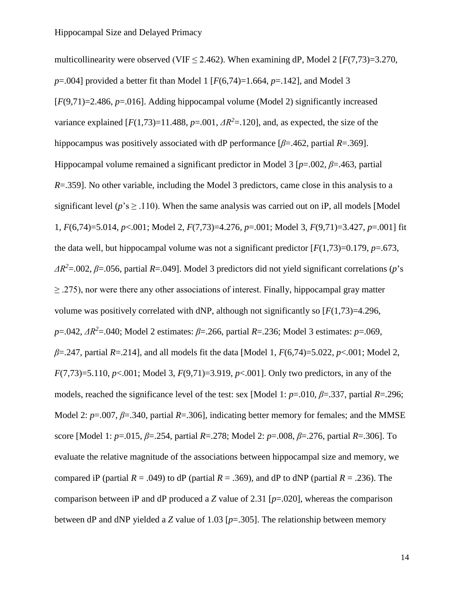multicollinearity were observed (VIF  $\leq$  2.462). When examining dP, Model 2 [ $F(7,73)=3.270$ , *p*=.004] provided a better fit than Model 1 [*F*(6,74)=1.664, *p*=.142], and Model 3  $[F(9,71)=2.486, p=.016$ . Adding hippocampal volume (Model 2) significantly increased variance explained  $[F(1,73)=11.488, p=.001, \Delta R^2=.120]$ , and, as expected, the size of the hippocampus was positively associated with dP performance  $[\beta = .462$ , partial  $R = .369$ ]. Hippocampal volume remained a significant predictor in Model 3 [*p*=.002, *β*=.463, partial *R*=.359]. No other variable, including the Model 3 predictors, came close in this analysis to a significant level ( $p$ 's  $\geq$  .110). When the same analysis was carried out on iP, all models [Model] 1, *F*(6,74)=5.014, *p*<.001; Model 2, *F*(7,73)=4.276, *p*=.001; Model 3, *F*(9,71)=3.427, *p*=.001] fit the data well, but hippocampal volume was not a significant predictor  $[F(1,73)=0.179, p=.673,$ *ΔR<sup>2</sup>* =.002, *β*=.056, partial *R*=.049]. Model 3 predictors did not yield significant correlations (*p*'s  $\geq$  .275), nor were there any other associations of interest. Finally, hippocampal gray matter volume was positively correlated with dNP, although not significantly so  $[F(1,73)=4.296]$ , *p*=.042, *ΔR<sup>2</sup>* =.040; Model 2 estimates: *β*=.266, partial *R*=.236; Model 3 estimates: *p*=.069, *β*=.247, partial *R*=.214], and all models fit the data [Model 1, *F*(6,74)=5.022, *p*<.001; Model 2, *F*(7,73)=5.110, *p*<.001; Model 3, *F*(9,71)=3.919, *p*<.001]. Only two predictors, in any of the models, reached the significance level of the test: sex [Model 1: *p*=.010, *β*=.337, partial *R*=.296; Model 2: *p*=.007, *β*=.340, partial *R*=.306], indicating better memory for females; and the MMSE score [Model 1: *p*=.015, *β*=.254, partial *R*=.278; Model 2: *p*=.008, *β*=.276, partial *R*=.306]. To evaluate the relative magnitude of the associations between hippocampal size and memory, we compared iP (partial  $R = .049$ ) to dP (partial  $R = .369$ ), and dP to dNP (partial  $R = .236$ ). The comparison between iP and dP produced a *Z* value of 2.31 [*p*=.020], whereas the comparison between dP and dNP yielded a *Z* value of 1.03 [*p*=.305]. The relationship between memory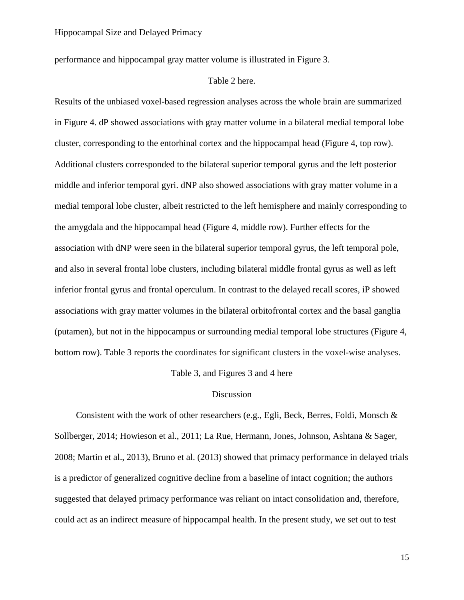performance and hippocampal gray matter volume is illustrated in Figure 3.

#### Table 2 here.

Results of the unbiased voxel-based regression analyses across the whole brain are summarized in Figure 4. dP showed associations with gray matter volume in a bilateral medial temporal lobe cluster, corresponding to the entorhinal cortex and the hippocampal head (Figure 4, top row). Additional clusters corresponded to the bilateral superior temporal gyrus and the left posterior middle and inferior temporal gyri. dNP also showed associations with gray matter volume in a medial temporal lobe cluster, albeit restricted to the left hemisphere and mainly corresponding to the amygdala and the hippocampal head (Figure 4, middle row). Further effects for the association with dNP were seen in the bilateral superior temporal gyrus, the left temporal pole, and also in several frontal lobe clusters, including bilateral middle frontal gyrus as well as left inferior frontal gyrus and frontal operculum. In contrast to the delayed recall scores, iP showed associations with gray matter volumes in the bilateral orbitofrontal cortex and the basal ganglia (putamen), but not in the hippocampus or surrounding medial temporal lobe structures (Figure 4, bottom row). Table 3 reports the coordinates for significant clusters in the voxel-wise analyses.

Table 3, and Figures 3 and 4 here

#### Discussion

Consistent with the work of other researchers (e.g., Egli, Beck, Berres, Foldi, Monsch & Sollberger, 2014; Howieson et al., 2011; La Rue, Hermann, Jones, Johnson, Ashtana & Sager, 2008; Martin et al., 2013), Bruno et al. (2013) showed that primacy performance in delayed trials is a predictor of generalized cognitive decline from a baseline of intact cognition; the authors suggested that delayed primacy performance was reliant on intact consolidation and, therefore, could act as an indirect measure of hippocampal health. In the present study, we set out to test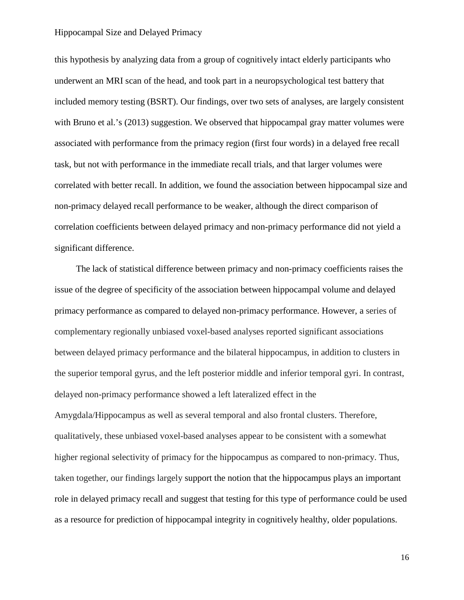this hypothesis by analyzing data from a group of cognitively intact elderly participants who underwent an MRI scan of the head, and took part in a neuropsychological test battery that included memory testing (BSRT). Our findings, over two sets of analyses, are largely consistent with Bruno et al.'s (2013) suggestion. We observed that hippocampal gray matter volumes were associated with performance from the primacy region (first four words) in a delayed free recall task, but not with performance in the immediate recall trials, and that larger volumes were correlated with better recall. In addition, we found the association between hippocampal size and non-primacy delayed recall performance to be weaker, although the direct comparison of correlation coefficients between delayed primacy and non-primacy performance did not yield a significant difference.

The lack of statistical difference between primacy and non-primacy coefficients raises the issue of the degree of specificity of the association between hippocampal volume and delayed primacy performance as compared to delayed non-primacy performance. However, a series of complementary regionally unbiased voxel-based analyses reported significant associations between delayed primacy performance and the bilateral hippocampus, in addition to clusters in the superior temporal gyrus, and the left posterior middle and inferior temporal gyri. In contrast, delayed non-primacy performance showed a left lateralized effect in the Amygdala/Hippocampus as well as several temporal and also frontal clusters. Therefore, qualitatively, these unbiased voxel-based analyses appear to be consistent with a somewhat higher regional selectivity of primacy for the hippocampus as compared to non-primacy. Thus, taken together, our findings largely support the notion that the hippocampus plays an important role in delayed primacy recall and suggest that testing for this type of performance could be used as a resource for prediction of hippocampal integrity in cognitively healthy, older populations.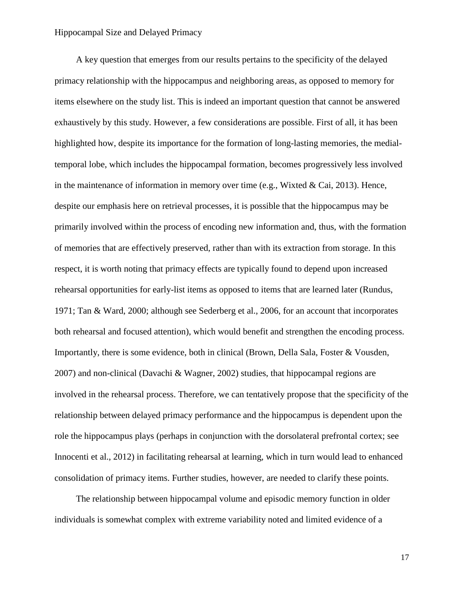A key question that emerges from our results pertains to the specificity of the delayed primacy relationship with the hippocampus and neighboring areas, as opposed to memory for items elsewhere on the study list. This is indeed an important question that cannot be answered exhaustively by this study. However, a few considerations are possible. First of all, it has been highlighted how, despite its importance for the formation of long-lasting memories, the medialtemporal lobe, which includes the hippocampal formation, becomes progressively less involved in the maintenance of information in memory over time (e.g., Wixted & Cai, 2013). Hence, despite our emphasis here on retrieval processes, it is possible that the hippocampus may be primarily involved within the process of encoding new information and, thus, with the formation of memories that are effectively preserved, rather than with its extraction from storage. In this respect, it is worth noting that primacy effects are typically found to depend upon increased rehearsal opportunities for early-list items as opposed to items that are learned later (Rundus, 1971; Tan & Ward, 2000; although see Sederberg et al., 2006, for an account that incorporates both rehearsal and focused attention), which would benefit and strengthen the encoding process. Importantly, there is some evidence, both in clinical (Brown, Della Sala, Foster & Vousden, 2007) and non-clinical (Davachi & Wagner, 2002) studies, that hippocampal regions are involved in the rehearsal process. Therefore, we can tentatively propose that the specificity of the relationship between delayed primacy performance and the hippocampus is dependent upon the role the hippocampus plays (perhaps in conjunction with the dorsolateral prefrontal cortex; see Innocenti et al., 2012) in facilitating rehearsal at learning, which in turn would lead to enhanced consolidation of primacy items. Further studies, however, are needed to clarify these points.

The relationship between hippocampal volume and episodic memory function in older individuals is somewhat complex with extreme variability noted and limited evidence of a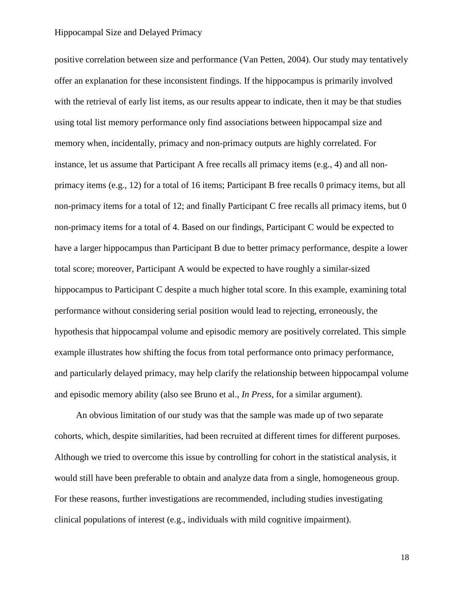positive correlation between size and performance (Van Petten, 2004). Our study may tentatively offer an explanation for these inconsistent findings. If the hippocampus is primarily involved with the retrieval of early list items, as our results appear to indicate, then it may be that studies using total list memory performance only find associations between hippocampal size and memory when, incidentally, primacy and non-primacy outputs are highly correlated. For instance, let us assume that Participant A free recalls all primacy items (e.g., 4) and all nonprimacy items (e.g., 12) for a total of 16 items; Participant B free recalls 0 primacy items, but all non-primacy items for a total of 12; and finally Participant C free recalls all primacy items, but 0 non-primacy items for a total of 4. Based on our findings, Participant C would be expected to have a larger hippocampus than Participant B due to better primacy performance, despite a lower total score; moreover, Participant A would be expected to have roughly a similar-sized hippocampus to Participant C despite a much higher total score. In this example, examining total performance without considering serial position would lead to rejecting, erroneously, the hypothesis that hippocampal volume and episodic memory are positively correlated. This simple example illustrates how shifting the focus from total performance onto primacy performance, and particularly delayed primacy, may help clarify the relationship between hippocampal volume and episodic memory ability (also see Bruno et al., *In Press*, for a similar argument).

An obvious limitation of our study was that the sample was made up of two separate cohorts, which, despite similarities, had been recruited at different times for different purposes. Although we tried to overcome this issue by controlling for cohort in the statistical analysis, it would still have been preferable to obtain and analyze data from a single, homogeneous group. For these reasons, further investigations are recommended, including studies investigating clinical populations of interest (e.g., individuals with mild cognitive impairment).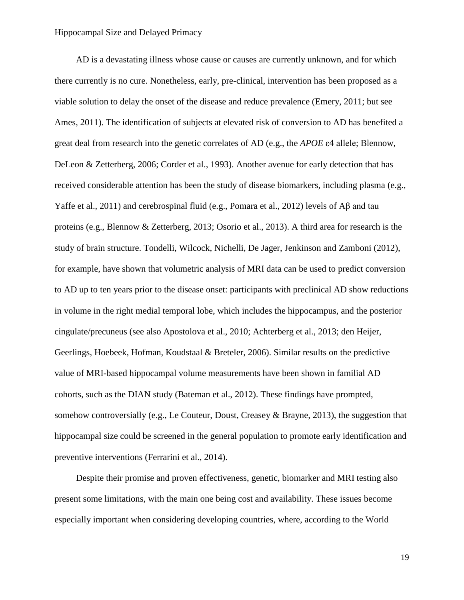AD is a devastating illness whose cause or causes are currently unknown, and for which there currently is no cure. Nonetheless, early, pre-clinical, intervention has been proposed as a viable solution to delay the onset of the disease and reduce prevalence (Emery, 2011; but see Ames, 2011). The identification of subjects at elevated risk of conversion to AD has benefited a great deal from research into the genetic correlates of AD (e.g., the *APOE* ε4 allele; Blennow, DeLeon & Zetterberg, 2006; Corder et al., 1993). Another avenue for early detection that has received considerable attention has been the study of disease biomarkers, including plasma (e.g., Yaffe et al., 2011) and cerebrospinal fluid (e.g., Pomara et al., 2012) levels of Aβ and tau proteins (e.g., Blennow & Zetterberg, 2013; Osorio et al., 2013). A third area for research is the study of brain structure. Tondelli, Wilcock, Nichelli, De Jager, Jenkinson and Zamboni (2012), for example, have shown that volumetric analysis of MRI data can be used to predict conversion to AD up to ten years prior to the disease onset: participants with preclinical AD show reductions in volume in the right medial temporal lobe, which includes the hippocampus, and the posterior cingulate/precuneus (see also Apostolova et al., 2010; Achterberg et al., 2013; den Heijer, Geerlings, Hoebeek, Hofman, Koudstaal & Breteler, 2006). Similar results on the predictive value of MRI-based hippocampal volume measurements have been shown in familial AD cohorts, such as the DIAN study (Bateman et al., 2012). These findings have prompted, somehow controversially (e.g., Le Couteur, Doust, Creasey & Brayne, 2013), the suggestion that hippocampal size could be screened in the general population to promote early identification and preventive interventions (Ferrarini et al., 2014).

Despite their promise and proven effectiveness, genetic, biomarker and MRI testing also present some limitations, with the main one being cost and availability. These issues become especially important when considering developing countries, where, according to the World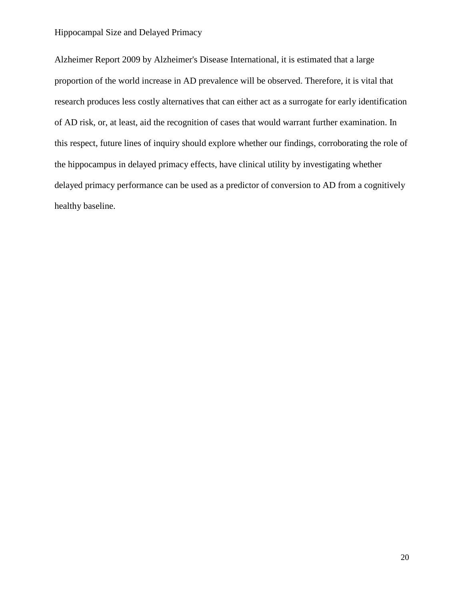Alzheimer Report 2009 by Alzheimer's Disease International, it is estimated that a large proportion of the world increase in AD prevalence will be observed. Therefore, it is vital that research produces less costly alternatives that can either act as a surrogate for early identification of AD risk, or, at least, aid the recognition of cases that would warrant further examination. In this respect, future lines of inquiry should explore whether our findings, corroborating the role of the hippocampus in delayed primacy effects, have clinical utility by investigating whether delayed primacy performance can be used as a predictor of conversion to AD from a cognitively healthy baseline.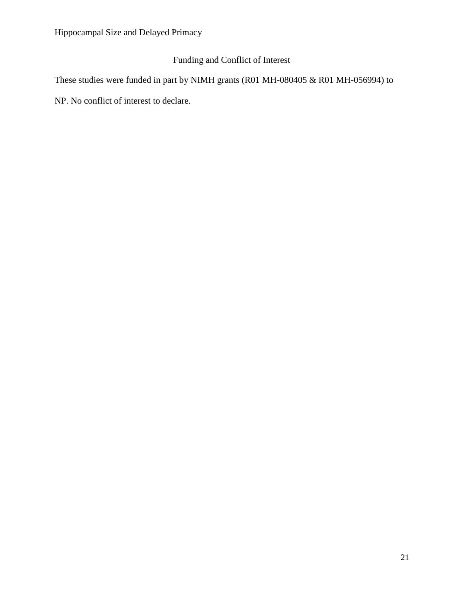### Funding and Conflict of Interest

These studies were funded in part by NIMH grants (R01 MH-080405 & R01 MH-056994) to

NP. No conflict of interest to declare.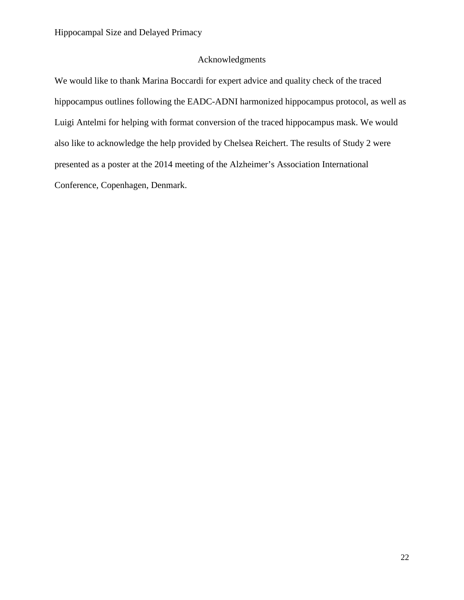#### Acknowledgments

We would like to thank Marina Boccardi for expert advice and quality check of the traced hippocampus outlines following the EADC-ADNI harmonized hippocampus protocol, as well as Luigi Antelmi for helping with format conversion of the traced hippocampus mask. We would also like to acknowledge the help provided by Chelsea Reichert. The results of Study 2 were presented as a poster at the 2014 meeting of the Alzheimer's Association International Conference, Copenhagen, Denmark.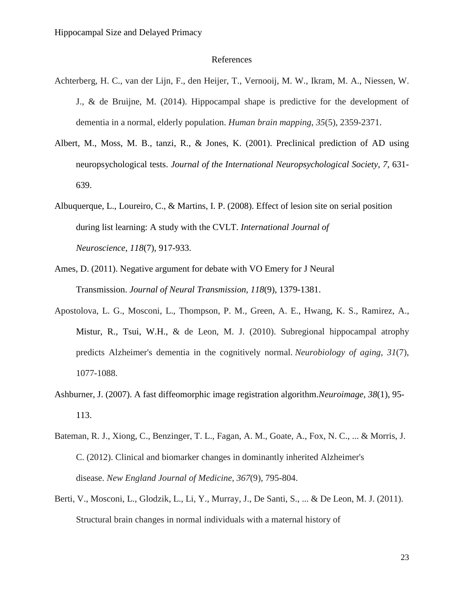#### References

- Achterberg, H. C., van der Lijn, F., den Heijer, T., Vernooij, M. W., Ikram, M. A., Niessen, W. J., & de Bruijne, M. (2014). Hippocampal shape is predictive for the development of dementia in a normal, elderly population. *Human brain mapping*, *35*(5), 2359-2371.
- Albert, M., Moss, M. B., tanzi, R., & Jones, K. (2001). Preclinical prediction of AD using neuropsychological tests. *Journal of the International Neuropsychological Society, 7*, 631- 639.
- Albuquerque, L., Loureiro, C., & Martins, I. P. (2008). Effect of lesion site on serial position during list learning: A study with the CVLT. *International Journal of Neuroscience*, *118*(7), 917-933.
- Ames, D. (2011). Negative argument for debate with VO Emery for J Neural Transmission. *Journal of Neural Transmission*, *118*(9), 1379-1381.
- Apostolova, L. G., Mosconi, L., Thompson, P. M., Green, A. E., Hwang, K. S., Ramirez, A., Mistur, R., Tsui, W.H., & de Leon, M. J. (2010). Subregional hippocampal atrophy predicts Alzheimer's dementia in the cognitively normal. *Neurobiology of aging*, *31*(7), 1077-1088.
- Ashburner, J. (2007). A fast diffeomorphic image registration algorithm.*Neuroimage*, *38*(1), 95- 113.
- Bateman, R. J., Xiong, C., Benzinger, T. L., Fagan, A. M., Goate, A., Fox, N. C., ... & Morris, J. C. (2012). Clinical and biomarker changes in dominantly inherited Alzheimer's disease. *New England Journal of Medicine*, *367*(9), 795-804.
- Berti, V., Mosconi, L., Glodzik, L., Li, Y., Murray, J., De Santi, S., ... & De Leon, M. J. (2011). Structural brain changes in normal individuals with a maternal history of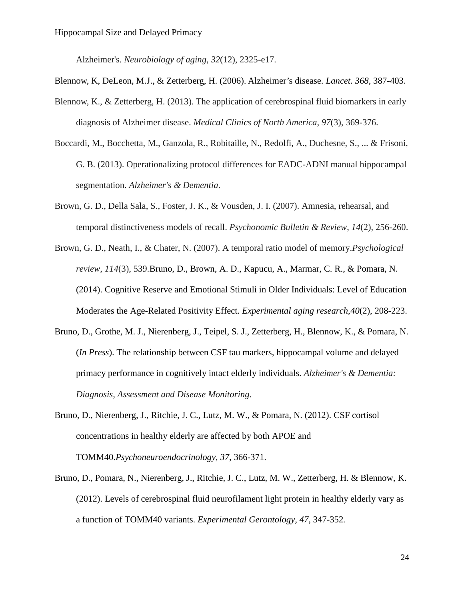Alzheimer's. *Neurobiology of aging*, *32*(12), 2325-e17.

- Blennow, K, DeLeon, M.J., & Zetterberg, H. (2006). Alzheimer's disease. *Lancet. 368*, 387-403.
- Blennow, K., & Zetterberg, H. (2013). The application of cerebrospinal fluid biomarkers in early diagnosis of Alzheimer disease. *Medical Clinics of North America*, *97*(3), 369-376.
- Boccardi, M., Bocchetta, M., Ganzola, R., Robitaille, N., Redolfi, A., Duchesne, S., ... & Frisoni, G. B. (2013). Operationalizing protocol differences for EADC-ADNI manual hippocampal segmentation. *Alzheimer's & Dementia*.
- Brown, G. D., Della Sala, S., Foster, J. K., & Vousden, J. I. (2007). Amnesia, rehearsal, and temporal distinctiveness models of recall. *Psychonomic Bulletin & Review*, *14*(2), 256-260.
- Brown, G. D., Neath, I., & Chater, N. (2007). A temporal ratio model of memory.*Psychological review*, *114*(3), 539.Bruno, D., Brown, A. D., Kapucu, A., Marmar, C. R., & Pomara, N. (2014). Cognitive Reserve and Emotional Stimuli in Older Individuals: Level of Education Moderates the Age-Related Positivity Effect. *Experimental aging research*,*40*(2), 208-223.
- Bruno, D., Grothe, M. J., Nierenberg, J., Teipel, S. J., Zetterberg, H., Blennow, K., & Pomara, N. (*In Press*). The relationship between CSF tau markers, hippocampal volume and delayed primacy performance in cognitively intact elderly individuals. *Alzheimer's & Dementia: Diagnosis, Assessment and Disease Monitoring*.
- Bruno, D., Nierenberg, J., Ritchie, J. C., Lutz, M. W., & Pomara, N. (2012). CSF cortisol concentrations in healthy elderly are affected by both APOE and TOMM40.*Psychoneuroendocrinology, 37*, 366-371.
- Bruno, D., Pomara, N., Nierenberg, J., Ritchie, J. C., Lutz, M. W., Zetterberg, H. & Blennow, K. (2012). Levels of cerebrospinal fluid neurofilament light protein in healthy elderly vary as a function of TOMM40 variants. *Experimental Gerontology, 47*, 347-352*.*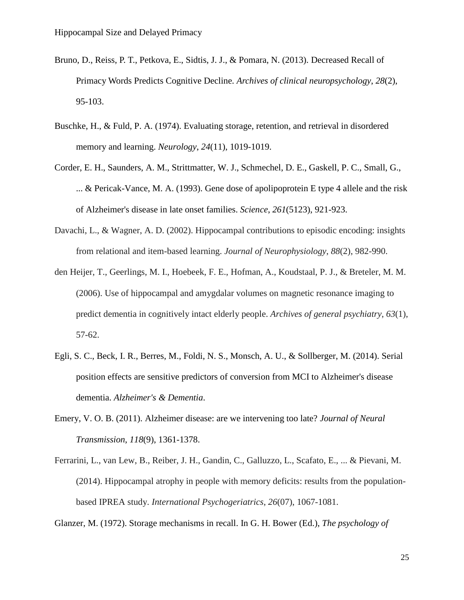- Bruno, D., Reiss, P. T., Petkova, E., Sidtis, J. J., & Pomara, N. (2013). Decreased Recall of Primacy Words Predicts Cognitive Decline. *Archives of clinical neuropsychology*, *28*(2), 95-103.
- Buschke, H., & Fuld, P. A. (1974). Evaluating storage, retention, and retrieval in disordered memory and learning. *Neurology*, *24*(11), 1019-1019.
- Corder, E. H., Saunders, A. M., Strittmatter, W. J., Schmechel, D. E., Gaskell, P. C., Small, G., ... & Pericak-Vance, M. A. (1993). Gene dose of apolipoprotein E type 4 allele and the risk of Alzheimer's disease in late onset families. *Science*, *261*(5123), 921-923.
- Davachi, L., & Wagner, A. D. (2002). Hippocampal contributions to episodic encoding: insights from relational and item-based learning. *Journal of Neurophysiology*, *88*(2), 982-990.
- den Heijer, T., Geerlings, M. I., Hoebeek, F. E., Hofman, A., Koudstaal, P. J., & Breteler, M. M. (2006). Use of hippocampal and amygdalar volumes on magnetic resonance imaging to predict dementia in cognitively intact elderly people. *Archives of general psychiatry*, *63*(1), 57-62.
- Egli, S. C., Beck, I. R., Berres, M., Foldi, N. S., Monsch, A. U., & Sollberger, M. (2014). Serial position effects are sensitive predictors of conversion from MCI to Alzheimer's disease dementia. *Alzheimer's & Dementia*.
- Emery, V. O. B. (2011). Alzheimer disease: are we intervening too late? *Journal of Neural Transmission*, *118*(9), 1361-1378.
- Ferrarini, L., van Lew, B., Reiber, J. H., Gandin, C., Galluzzo, L., Scafato, E., ... & Pievani, M. (2014). Hippocampal atrophy in people with memory deficits: results from the populationbased IPREA study. *International Psychogeriatrics*, *26*(07), 1067-1081.

Glanzer, M. (1972). Storage mechanisms in recall. In G. H. Bower (Ed.), *The psychology of*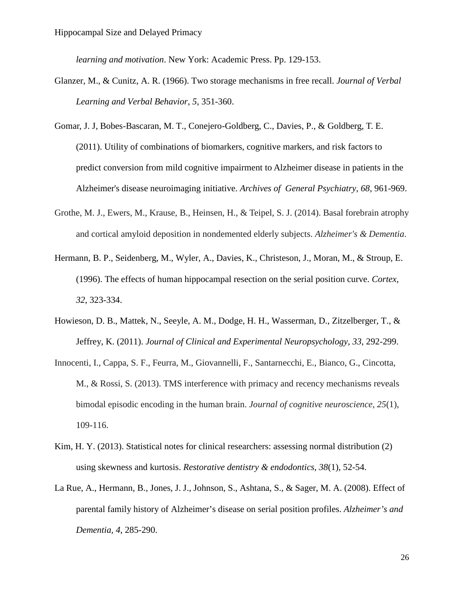*learning and motivation*. New York: Academic Press. Pp. 129-153.

- Glanzer, M., & Cunitz, A. R. (1966). Two storage mechanisms in free recall. *Journal of Verbal Learning and Verbal Behavior*, *5*, 351-360.
- [Gomar,](http://www.ncbi.nlm.nih.gov/pubmed?term=Gomar%20JJ%5BAuthor%5D&cauthor=true&cauthor_uid=21893661) J. J, [Bobes-Bascaran,](http://www.ncbi.nlm.nih.gov/pubmed?term=Bobes-Bascaran%20MT%5BAuthor%5D&cauthor=true&cauthor_uid=21893661) M. T., [Conejero-Goldberg,](http://www.ncbi.nlm.nih.gov/pubmed?term=Conejero-Goldberg%20C%5BAuthor%5D&cauthor=true&cauthor_uid=21893661) C., [Davies,](http://www.ncbi.nlm.nih.gov/pubmed?term=Davies%20P%5BAuthor%5D&cauthor=true&cauthor_uid=21893661) P., & [Goldberg,](http://www.ncbi.nlm.nih.gov/pubmed?term=Goldberg%20TE%5BAuthor%5D&cauthor=true&cauthor_uid=21893661) T. E. (2011). Utility of combinations of biomarkers, cognitive markers, and risk factors to predict conversion from mild cognitive impairment to Alzheimer disease in patients in the Alzheimer's disease neuroimaging initiative. *Archives [of General](http://www.ncbi.nlm.nih.gov/pubmed/21893661) Psychiatry, 68*, 961-969.
- Grothe, M. J., Ewers, M., Krause, B., Heinsen, H., & Teipel, S. J. (2014). Basal forebrain atrophy and cortical amyloid deposition in nondemented elderly subjects. *Alzheimer's & Dementia*.
- Hermann, B. P., Seidenberg, M., Wyler, A., Davies, K., Christeson, J., Moran, M., & Stroup, E. (1996). The effects of human hippocampal resection on the serial position curve. *Cortex, 32*, 323-334.
- Howieson, D. B., Mattek, N., Seeyle, A. M., Dodge, H. H., Wasserman, D., Zitzelberger, T., & Jeffrey, K. (2011). *Journal of Clinical and Experimental Neuropsychology, 33*, 292-299.
- Innocenti, I., Cappa, S. F., Feurra, M., Giovannelli, F., Santarnecchi, E., Bianco, G., Cincotta, M., & Rossi, S. (2013). TMS interference with primacy and recency mechanisms reveals bimodal episodic encoding in the human brain. *Journal of cognitive neuroscience*, *25*(1), 109-116.
- Kim, H. Y. (2013). Statistical notes for clinical researchers: assessing normal distribution (2) using skewness and kurtosis. *Restorative dentistry & endodontics*, *38*(1), 52-54.
- La Rue, A., Hermann, B., Jones, J. J., Johnson, S., Ashtana, S., & Sager, M. A. (2008). Effect of parental family history of Alzheimer's disease on serial position profiles. *Alzheimer's and Dementia, 4*, 285-290.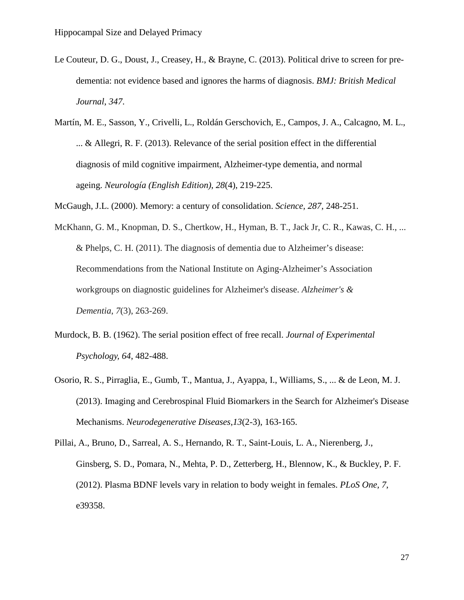- Le Couteur, D. G., Doust, J., Creasey, H., & Brayne, C. (2013). Political drive to screen for predementia: not evidence based and ignores the harms of diagnosis. *BMJ: British Medical Journal*, *347*.
- Martín, M. E., Sasson, Y., Crivelli, L., Roldán Gerschovich, E., Campos, J. A., Calcagno, M. L., ... & Allegri, R. F. (2013). Relevance of the serial position effect in the differential diagnosis of mild cognitive impairment, Alzheimer-type dementia, and normal ageing. *Neurología (English Edition)*, *28*(4), 219-225.
- McGaugh, J.L. (2000). Memory: a century of consolidation. *Science, 287*, 248-251.
- McKhann, G. M., Knopman, D. S., Chertkow, H., Hyman, B. T., Jack Jr, C. R., Kawas, C. H., ... & Phelps, C. H. (2011). The diagnosis of dementia due to Alzheimer's disease: Recommendations from the National Institute on Aging-Alzheimer's Association workgroups on diagnostic guidelines for Alzheimer's disease. *Alzheimer's & Dementia*, *7*(3), 263-269.
- Murdock, B. B. (1962). The serial position effect of free recall. *Journal of Experimental Psychology, 64*, 482-488.
- Osorio, R. S., Pirraglia, E., Gumb, T., Mantua, J., Ayappa, I., Williams, S., ... & de Leon, M. J. (2013). Imaging and Cerebrospinal Fluid Biomarkers in the Search for Alzheimer's Disease Mechanisms. *Neurodegenerative Diseases*,*13*(2-3), 163-165.

Pillai, A., Bruno, D., Sarreal, A. S., Hernando, R. T., Saint-Louis, L. A., Nierenberg, J., Ginsberg, S. D., Pomara, N., Mehta, P. D., Zetterberg, H., Blennow, K., & Buckley, P. F. (2012). Plasma BDNF levels vary in relation to body weight in females. *PLoS One, 7*, e39358.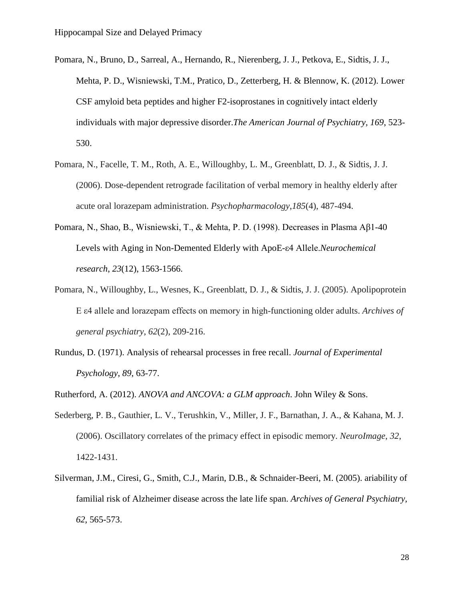- Pomara, N., Bruno, D., Sarreal, A., Hernando, R., Nierenberg, J. J., Petkova, E., Sidtis, J. J., Mehta, P. D., Wisniewski, T.M., Pratico, D., Zetterberg, H. & Blennow, K. (2012). Lower CSF amyloid beta peptides and higher F2-isoprostanes in cognitively intact elderly individuals with major depressive disorder.*The American Journal of Psychiatry, 169*, 523- 530.
- Pomara, N., Facelle, T. M., Roth, A. E., Willoughby, L. M., Greenblatt, D. J., & Sidtis, J. J. (2006). Dose-dependent retrograde facilitation of verbal memory in healthy elderly after acute oral lorazepam administration. *Psychopharmacology*,*185*(4), 487-494.
- Pomara, N., Shao, B., Wisniewski, T., & Mehta, P. D. (1998). Decreases in Plasma Aβ1-40 Levels with Aging in Non-Demented Elderly with ApoE-ε4 Allele.*Neurochemical research*, *23*(12), 1563-1566.
- Pomara, N., Willoughby, L., Wesnes, K., Greenblatt, D. J., & Sidtis, J. J. (2005). Apolipoprotein E ε4 allele and lorazepam effects on memory in high-functioning older adults. *Archives of general psychiatry*, *62*(2), 209-216.
- Rundus, D. (1971). Analysis of rehearsal processes in free recall. *Journal of Experimental Psychology*, *89*, 63-77.
- Rutherford, A. (2012). *ANOVA and ANCOVA: a GLM approach*. John Wiley & Sons.
- Sederberg, P. B., Gauthier, L. V., Terushkin, V., Miller, J. F., Barnathan, J. A., & Kahana, M. J. (2006). Oscillatory correlates of the primacy effect in episodic memory. *NeuroImage*, *32*, 1422-1431.
- [Silverman, J.M.](http://www.ncbi.nlm.nih.gov/pubmed?term=), [Ciresi, G.](http://www.ncbi.nlm.nih.gov/pubmed?term=), [Smith, C.J.](http://www.ncbi.nlm.nih.gov/pubmed?term=), [Marin, D.B.](http://www.ncbi.nlm.nih.gov/pubmed?term=), & [Schnaider-Beeri, M.](http://www.ncbi.nlm.nih.gov/pubmed?term=) (2005). ariability of familial risk of Alzheimer disease across the late life span. *Archives of General Psychiatry, 62*, 565-573.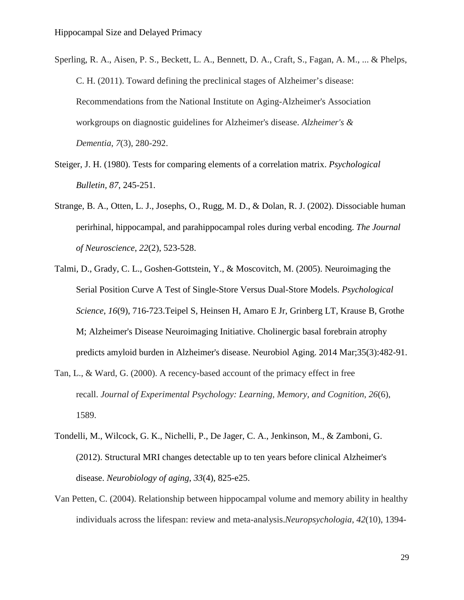- Sperling, R. A., Aisen, P. S., Beckett, L. A., Bennett, D. A., Craft, S., Fagan, A. M., ... & Phelps, C. H. (2011). Toward defining the preclinical stages of Alzheimer's disease: Recommendations from the National Institute on Aging-Alzheimer's Association workgroups on diagnostic guidelines for Alzheimer's disease. *Alzheimer's & Dementia*, *7*(3), 280-292.
- Steiger, J. H. (1980). Tests for comparing elements of a correlation matrix. *Psychological Bulletin, 87*, 245-251.
- Strange, B. A., Otten, L. J., Josephs, O., Rugg, M. D., & Dolan, R. J. (2002). Dissociable human perirhinal, hippocampal, and parahippocampal roles during verbal encoding. *The Journal of Neuroscience*, *22*(2), 523-528.
- Talmi, D., Grady, C. L., Goshen-Gottstein, Y., & Moscovitch, M. (2005). Neuroimaging the Serial Position Curve A Test of Single-Store Versus Dual-Store Models. *Psychological Science*, *16*(9), 716-723.Teipel S, Heinsen H, Amaro E Jr, Grinberg LT, Krause B, Grothe M; Alzheimer's Disease Neuroimaging Initiative. Cholinergic basal forebrain atrophy predicts amyloid burden in Alzheimer's disease. Neurobiol Aging. 2014 Mar;35(3):482-91.
- Tan, L., & Ward, G. (2000). A recency-based account of the primacy effect in free recall. *Journal of Experimental Psychology: Learning, Memory, and Cognition*, *26*(6), 1589.
- Tondelli, M., Wilcock, G. K., Nichelli, P., De Jager, C. A., Jenkinson, M., & Zamboni, G. (2012). Structural MRI changes detectable up to ten years before clinical Alzheimer's disease. *Neurobiology of aging*, *33*(4), 825-e25.
- Van Petten, C. (2004). Relationship between hippocampal volume and memory ability in healthy individuals across the lifespan: review and meta-analysis.*Neuropsychologia*, *42*(10), 1394-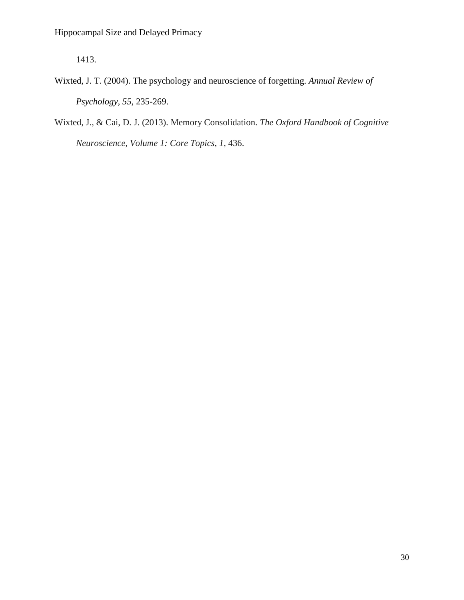1413.

- Wixted, J. T. (2004). The psychology and neuroscience of forgetting. *Annual Review of Psychology, 55*, 235-269.
- Wixted, J., & Cai, D. J. (2013). Memory Consolidation. *The Oxford Handbook of Cognitive Neuroscience, Volume 1: Core Topics*, *1*, 436.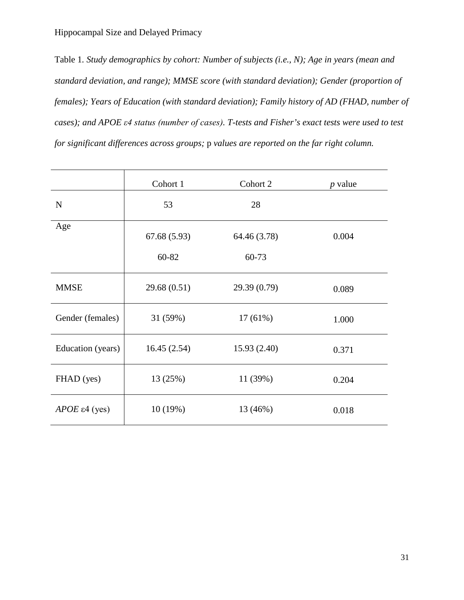Table 1*. Study demographics by cohort: Number of subjects (i.e., N); Age in years (mean and standard deviation, and range); MMSE score (with standard deviation); Gender (proportion of females); Years of Education (with standard deviation); Family history of AD (FHAD, number of cases); and APOE ε4 status (number of cases). T-tests and Fisher's exact tests were used to test for significant differences across groups;* p *values are reported on the far right column.* 

|                        | Cohort 1    | Cohort 2     | $p$ value |  |
|------------------------|-------------|--------------|-----------|--|
| ${\bf N}$              | 53          | 28           |           |  |
| Age                    | 67.68(5.93) | 64.46 (3.78) | 0.004     |  |
|                        | 60-82       | 60-73        |           |  |
| <b>MMSE</b>            | 29.68(0.51) | 29.39 (0.79) | 0.089     |  |
| Gender (females)       | 31 (59%)    | $17(61\%)$   | 1.000     |  |
| Education (years)      | 16.45(2.54) | 15.93(2.40)  | 0.371     |  |
| FHAD (yes)             | 13 (25%)    | 11(39%)      | 0.204     |  |
| $APOE \epsilon4$ (yes) | 10(19%)     | 13 (46%)     | 0.018     |  |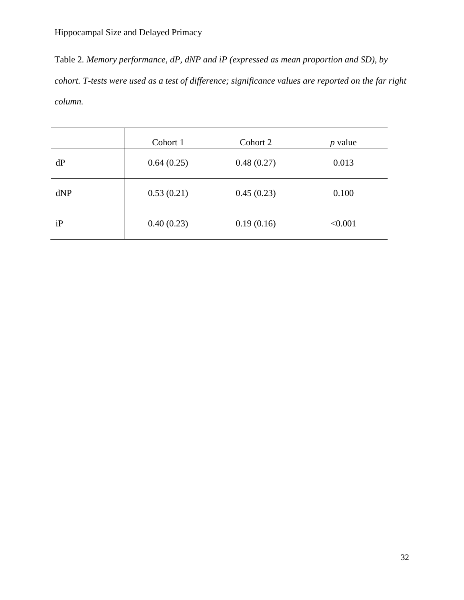Table 2*. Memory performance, dP, dNP and iP (expressed as mean proportion and SD), by cohort. T-tests were used as a test of difference; significance values are reported on the far right column.* 

|     | Cohort 1   | Cohort 2   | <i>p</i> value |
|-----|------------|------------|----------------|
| dP  | 0.64(0.25) | 0.48(0.27) | 0.013          |
| dNP | 0.53(0.21) | 0.45(0.23) | 0.100          |
| iP  | 0.40(0.23) | 0.19(0.16) | < 0.001        |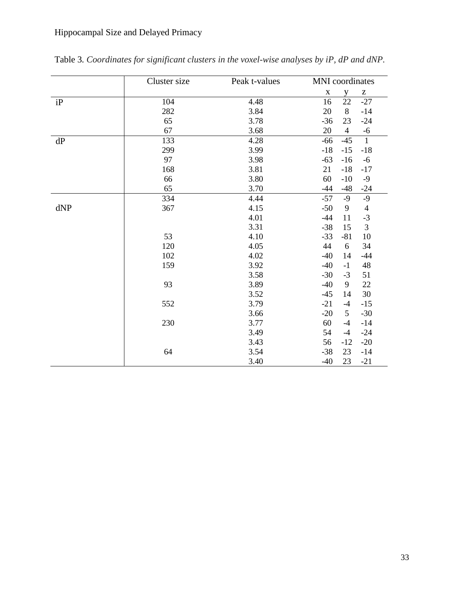|     | Cluster size | Peak t-values | <b>MNI</b> coordinates |                |                                                       |
|-----|--------------|---------------|------------------------|----------------|-------------------------------------------------------|
|     |              |               | $\mathbf X$            | y              | $\mathbf{Z}% ^{T}=\mathbf{Z}^{T}\times\mathbf{Z}^{T}$ |
| iP  | 104          | 4.48          | 16                     | 22             | $-27$                                                 |
|     | 282          | 3.84          | 20                     | 8              | $-14$                                                 |
|     | 65           | 3.78          | $-36$                  | 23             | $-24$                                                 |
|     | 67           | 3.68          | 20                     | $\overline{4}$ | $-6$                                                  |
| dP  | 133          | 4.28          | $-66$                  | $-45$          | $\overline{1}$                                        |
|     | 299          | 3.99          | $-18$                  | $-15$          | $-18$                                                 |
|     | 97           | 3.98          | $-63$                  | $-16$          | $-6$                                                  |
|     | 168          | 3.81          | 21                     | $-18$          | $-17$                                                 |
|     | 66           | 3.80          | 60                     | $-10$          | $-9$                                                  |
|     | 65           | 3.70          | $-44$                  | $-48$          | $-24$                                                 |
|     | 334          | 4.44          | $-57$                  | $-9$           | $-9$                                                  |
| dNP | 367          | 4.15          | $-50$                  | 9              | $\overline{4}$                                        |
|     |              | 4.01          | $-44$                  | 11             | $-3$                                                  |
|     |              | 3.31          | $-38$                  | 15             | $\overline{3}$                                        |
|     | 53           | 4.10          | $-33$                  | $-81$          | 10                                                    |
|     | 120          | 4.05          | 44                     | 6              | 34                                                    |
|     | 102          | 4.02          | $-40$                  | 14             | $-44$                                                 |
|     | 159          | 3.92          | $-40$                  | $-1$           | 48                                                    |
|     |              | 3.58          | $-30$                  | $-3$           | 51                                                    |
|     | 93           | 3.89          | $-40$                  | 9              | 22                                                    |
|     |              | 3.52          | $-45$                  | 14             | 30                                                    |
|     | 552          | 3.79          | $-21$                  | $-4$           | $-15$                                                 |
|     |              | 3.66          | $-20$                  | $\mathfrak{S}$ | $-30$                                                 |
|     | 230          | 3.77          | 60                     | $-4$           | $-14$                                                 |
|     |              | 3.49          | 54                     | $-4$           | $-24$                                                 |
|     |              | 3.43          | 56                     | $-12$          | $-20$                                                 |
|     | 64           | 3.54          | $-38$                  | 23             | $-14$                                                 |
|     |              | 3.40          | $-40$                  | 23             | $-21$                                                 |

Table 3*. Coordinates for significant clusters in the voxel-wise analyses by iP, dP and dNP.*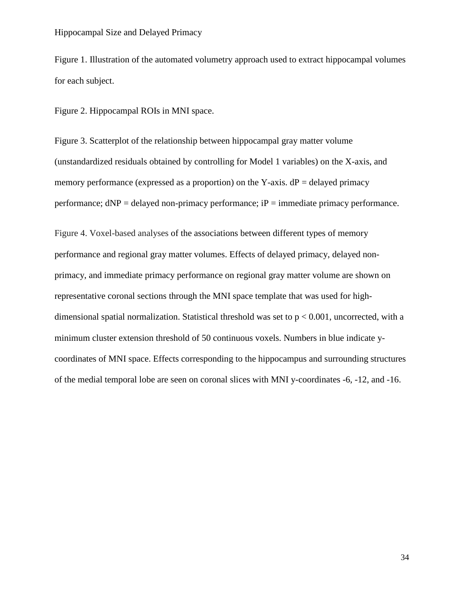Figure 1. Illustration of the automated volumetry approach used to extract hippocampal volumes for each subject.

Figure 2. Hippocampal ROIs in MNI space.

Figure 3. Scatterplot of the relationship between hippocampal gray matter volume (unstandardized residuals obtained by controlling for Model 1 variables) on the X-axis, and memory performance (expressed as a proportion) on the Y-axis.  $dP =$  delayed primacy performance;  $dNP =$  delayed non-primacy performance;  $iP =$  immediate primacy performance.

Figure 4. Voxel-based analyses of the associations between different types of memory performance and regional gray matter volumes. Effects of delayed primacy, delayed nonprimacy, and immediate primacy performance on regional gray matter volume are shown on representative coronal sections through the MNI space template that was used for highdimensional spatial normalization. Statistical threshold was set to  $p < 0.001$ , uncorrected, with a minimum cluster extension threshold of 50 continuous voxels. Numbers in blue indicate ycoordinates of MNI space. Effects corresponding to the hippocampus and surrounding structures of the medial temporal lobe are seen on coronal slices with MNI y-coordinates -6, -12, and -16.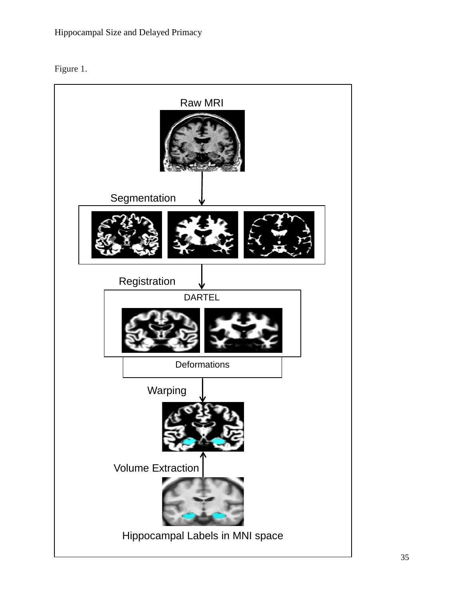

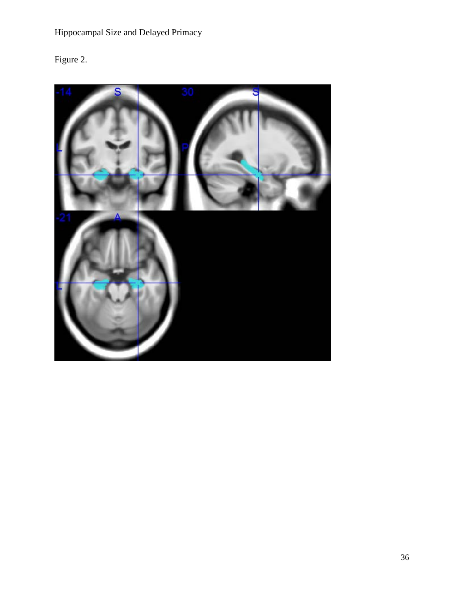# Figure 2.

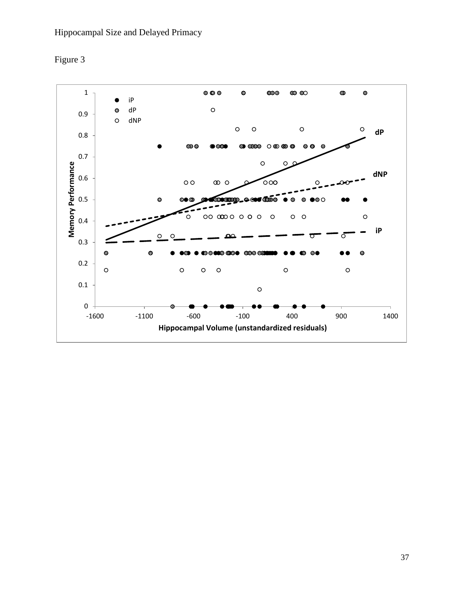